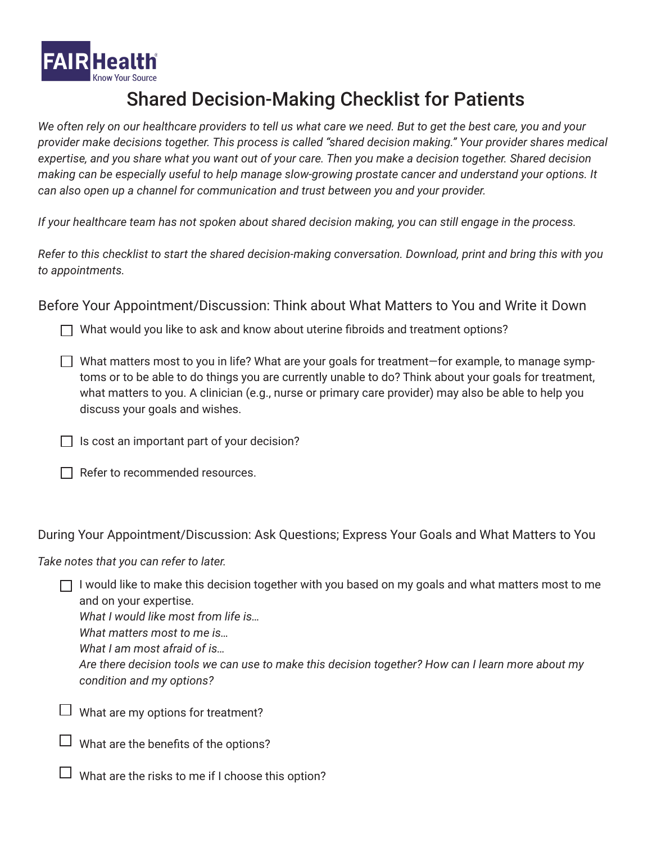

## Shared Decision-Making Checklist for Patients

*We often rely on our healthcare providers to tell us what care we need. But to get the best care, you and your provider make decisions together. This process is called "shared decision making." Your provider shares medical expertise, and you share what you want out of your care. Then you make a decision together. Shared decision making can be especially useful to help manage slow-growing prostate cancer and understand your options. It can also open up a channel for communication and trust between you and your provider.* 

*If your healthcare team has not spoken about shared decision making, you can still engage in the process.*

*Refer to this checklist to start the shared decision-making conversation. Download, print and bring this with you to appointments.*

Before Your Appointment/Discussion: Think about What Matters to You and Write it Down

 $\Box$  What would you like to ask and know about uterine fibroids and treatment options?

- $\Box$  What matters most to you in life? What are your goals for treatment—for example, to manage symptoms or to be able to do things you are currently unable to do? Think about your goals for treatment, what matters to you. A clinician (e.g., nurse or primary care provider) may also be able to help you discuss your goals and wishes.
- $\Box$  Is cost an important part of your decision?
- $\Box$  Refer to recommended resources.

During Your Appointment/Discussion: Ask Questions; Express Your Goals and What Matters to You

*Take notes that you can refer to later.* 

 $\Box$  I would like to make this decision together with you based on my goals and what matters most to me and on your expertise.

*What I would like most from life is…*

*What matters most to me is…*

*What I am most afraid of is…*

*Are there decision tools we can use to make this decision together? How can I learn more about my condition and my options?*

 $\Box$  What are my options for treatment?

 $\Box$  What are the benefits of the options?

 $\Box$  What are the risks to me if I choose this option?